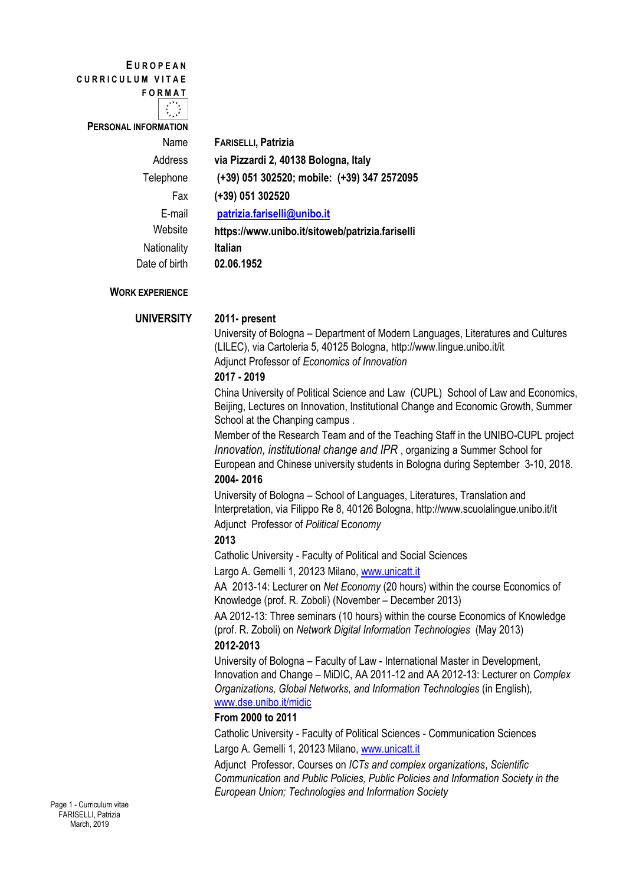**E U R O P E A N C U R R I C U L U M V I T A E**

**F O R M A T**

 $\frac{1}{2}$  .  $\frac{1}{2}$ 

**PERSONAL INFORMATION**

E-mail **Website** Nationality **Italian**

Name **FARISELLI, Patrizia** Address **via Pizzardi 2, 40138 Bologna, Italy** Telephone **(+39) 051 302520; mobile: (+39) 347 2572095** Fax **(+39) 051 302520 [patrizia.fariselli@unibo.it](mailto:patrizia.fariselli@unibo.it) https://www.unibo.it/sitoweb/patrizia.fariselli** Date of birth **02.06.1952**

## **WORK EXPERIENCE**

 **UNIVERSITY 2011- present**

University of Bologna – Department of Modern Languages, Literatures and Cultures (LILEC), via Cartoleria 5, 40125 Bologna, <http://www.lingue.unibo.it/it> Adjunct Professor of *Economics of Innovation*

## **2017 - 2019**

China University of Political Science and Law (CUPL) School of Law and Economics, Beijing, Lectures on Innovation, Institutional Change and Economic Growth, Summer School at the Chanping campus .

Member of the Research Team and of the Teaching Staff in the UNIBO-CUPL project *Innovation, institutional change and IPR* , organizing a Summer School for European and Chinese university students in Bologna during September 3-10, 2018. **2004- 2016**

University of Bologna – School of Languages, Literatures, Translation and Interpretation, via Filippo Re 8, 40126 Bologna, http://www.scuolalingue.unibo.it/it Adjunct Professor of *Political* E*conomy*

# **2013**

Catholic University - Faculty of Political and Social Sciences

Largo A. Gemelli 1, 20123 Milano, [www.unicatt.it](http://www.unicatt.it/)

AA 2013-14: Lecturer on *Net Economy* (20 hours) within the course Economics of Knowledge (prof. R. Zoboli) (November – December 2013)

AA 2012-13: Three seminars (10 hours) within the course Economics of Knowledge (prof. R. Zoboli) on *Network Digital Information Technologies* (May 2013) **2012-2013**

University of Bologna – Faculty of Law - International Master in Development, Innovation and Change – MiDIC, AA 2011-12 and AA 2012-13: Lecturer on *Complex Organizations, Global Networks, and Information Technologies* (in English)*,*  [www.dse.unibo.it/midic](http://www.dse.unibo.it/midic)

# **From 2000 to 2011**

Catholic University - Faculty of Political Sciences - Communication Sciences Largo A. Gemelli 1, 20123 Milano, [www.unicatt.it](http://www.unicatt.it/)

Adjunct Professor. Courses on *ICTs and complex organizations*, *Scientific Communication and Public Policies, Public Policies and Information Society in the European Union; Technologies and Information Society*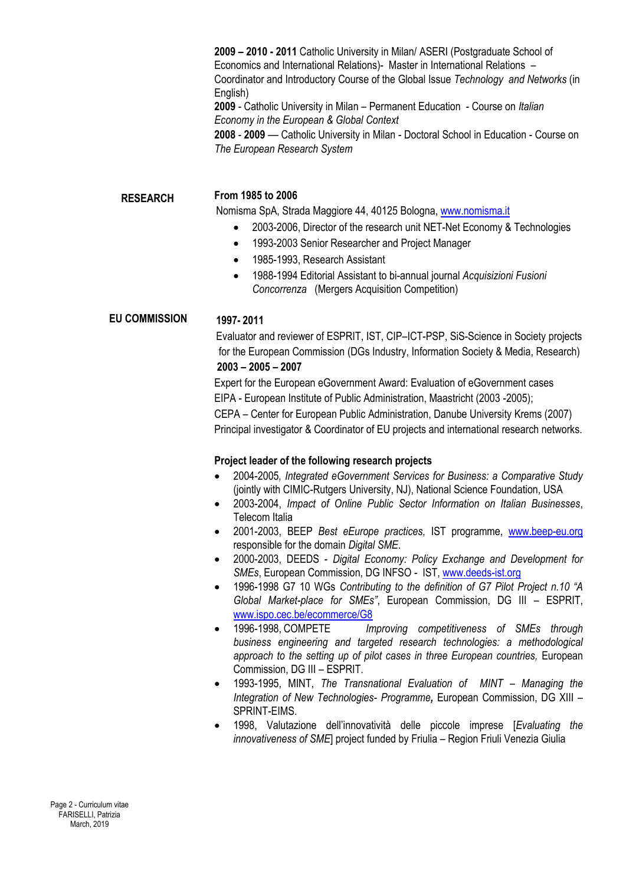**2009 – 2010 - 2011** Catholic University in Milan/ ASERI (Postgraduate School of Economics and International Relations)- Master in International Relations – Coordinator and Introductory Course of the Global Issue *Technology and Networks* (in English)

**2009** - Catholic University in Milan – Permanent Education - Course on *Italian Economy in the European & Global Context*

**2008** - **2009** –*–* Catholic University in Milan - Doctoral School in Education - Course on *The European Research System*

### **RESEARCH**

# **From 1985 to 2006**

Nomisma SpA, Strada Maggiore 44, 40125 Bologna, [www.nomisma.it](http://www.nomisma.it/)

- 2003-2006, Director of the research unit NET-Net Economy & Technologies
- 1993-2003 Senior Researcher and Project Manager
- 1985-1993, Research Assistant
- 1988-1994 Editorial Assistant to bi-annual journal *Acquisizioni Fusioni Concorrenza* (Mergers Acquisition Competition)

### **1997- 2011 EU COMMISSION**

Evaluator and reviewer of ESPRIT, IST, CIP–ICT-PSP, SiS-Science in Society projects for the European Commission (DGs Industry, Information Society & Media, Research) **2003 – 2005 – 2007**

Expert for the European eGovernment Award: Evaluation of eGovernment cases EIPA - European Institute of Public Administration, Maastricht (2003 -2005); CEPA – Center for European Public Administration, Danube University Krems (2007) Principal investigator & Coordinator of EU projects and international research networks.

### **Project leader of the following research projects**

- 2004-2005*, Integrated eGovernment Services for Business: a Comparative Study*  (jointly with CIMIC-Rutgers University, NJ), National Science Foundation, USA
- 2003-2004, *Impact of Online Public Sector Information on Italian Businesses*, Telecom Italia
- 2001-2003, BEEP *Best eEurope practices,* IST programme, [www.beep-eu.org](http://www.beep-eu.org/) responsible for the domain *Digital SME*.
- 2000-2003, DEEDS *Digital Economy: Policy Exchange and Development for SMEs*, European Commission, DG INFSO - IST, [www.deeds-ist.org](http://www.deeds-ist.org/)
- 1996-1998 G7 10 WGs *Contributing to the definition of G7 Pilot Project n.10 "A Global Market-place for SMEs"*, European Commission, DG III – ESPRIT, [www.ispo.cec.be/ecommerce/G8](http://www.ispo.cec.be/ecommerce/G8)
- 1996-1998, COMPETE *Improving competitiveness of SMEs through business engineering and targeted research technologies: a methodological*  approach to the setting up of pilot cases in three European countries, European Commission, DG III – ESPRIT.
- 1993-1995, MINT, *The Transnational Evaluation of MINT – Managing the Integration of New Technologies- Programme,* European Commission, DG XIII – SPRINT-EIMS.
- 1998, Valutazione dell'innovatività delle piccole imprese [*Evaluating the innovativeness of SME*] project funded by Friulia – Region Friuli Venezia Giulia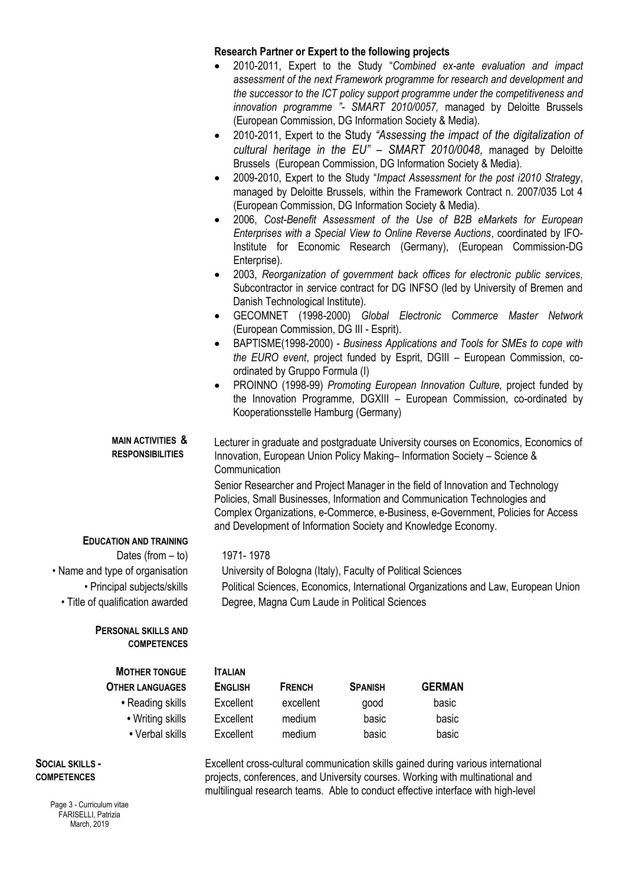## **Research Partner or Expert to the following projects**

- 2010-2011, Expert to the Study "*Combined ex-ante evaluation and impact assessment of the next Framework programme for research and development and the successor to the ICT policy support programme under the competitiveness and innovation programme "- SMART 2010/0057,* managed by Deloitte Brussels (European Commission, DG Information Society & Media).
- 2010-2011, Expert to the Study *"Assessing the impact of the digitalization of cultural heritage in the EU" – SMART 2010/0048,* managed by Deloitte Brussels (European Commission, DG Information Society & Media).
- 2009-2010, Expert to the Study "*Impact Assessment for the post i2010 Strategy*, managed by Deloitte Brussels, within the Framework Contract n. 2007/035 Lot 4 (European Commission, DG Information Society & Media).
- 2006, *Cost-Benefit Assessment of the Use of B2B eMarkets for European Enterprises with a Special View to Online Reverse Auctions*, coordinated by IFO-Institute for Economic Research (Germany), (European Commission-DG Enterprise).
- 2003, *Reorganization of government back offices for electronic public services,*  Subcontractor in *s*ervice contract for DG INFSO (led by University of Bremen and Danish Technological Institute).
- GECOMNET (1998-2000) *Global Electronic Commerce Master Network* (European Commission, DG III - Esprit).
- BAPTISME(1998-2000) *Business Applications and Tools for SMEs to cope with the EURO event*, project funded by Esprit, DGIII – European Commission, coordinated by Gruppo Formula (I)
- PROINNO (1998-99) *Promoting European Innovation Culture,* project funded by the Innovation Programme, DGXIII – European Commission, co-ordinated by Kooperationsstelle Hamburg (Germany)

**MAIN ACTIVITIES & RESPONSIBILITIES** Lecturer in graduate and postgraduate University courses on Economics, Economics of Innovation, European Union Policy Making– Information Society – Science & **Communication** 

> Senior Researcher and Project Manager in the field of Innovation and Technology Policies, Small Businesses, Information and Communication Technologies and Complex Organizations, e-Commerce, e-Business, e-Government, Policies for Access and Development of Information Society and Knowledge Economy.

### **EDUCATION AND TRAINING**

Dates (from – to) 1971- 1978 • Name and type of organisation University of Bologna (Italy), Faculty of Political Sciences • Principal subjects/skills Political Sciences, Economics, International Organizations and Law, European Union • Title of qualification awarded Degree, Magna Cum Laude in Political Sciences

### **PERSONAL SKILLS AND COMPETENCES**

| <b>MOTHER TONGUE</b>   | <b>ITALIAN</b> |
|------------------------|----------------|
| <b>OTHER LANGUAGES</b> | <b>ENGLIS</b>  |
| • Reading skills       | Excelle        |

- Writing skills
- Verbal skills

### **SOCIAL SKILLS - COMPETENCES**

Page 3 - Curriculum vitae FARISELLI, Patrizia March, 2019

| <b>MOTHER TONGUE</b>   | <b>ITALIAN</b> |               |                |               |
|------------------------|----------------|---------------|----------------|---------------|
| <b>OTHER LANGUAGES</b> | <b>ENGLISH</b> | <b>FRENCH</b> | <b>SPANISH</b> | <b>GERMAN</b> |
| • Reading skills       | Excellent      | excellent     | good           | basic         |
| • Writing skills       | Excellent      | medium        | basic          | basic         |
| • Verbal skills        | Excellent      | medium        | basic          | basic         |
|                        |                |               |                |               |

Excellent cross-cultural communication skills gained during various international projects, conferences, and University courses. Working with multinational and multilingual research teams. Able to conduct effective interface with high-level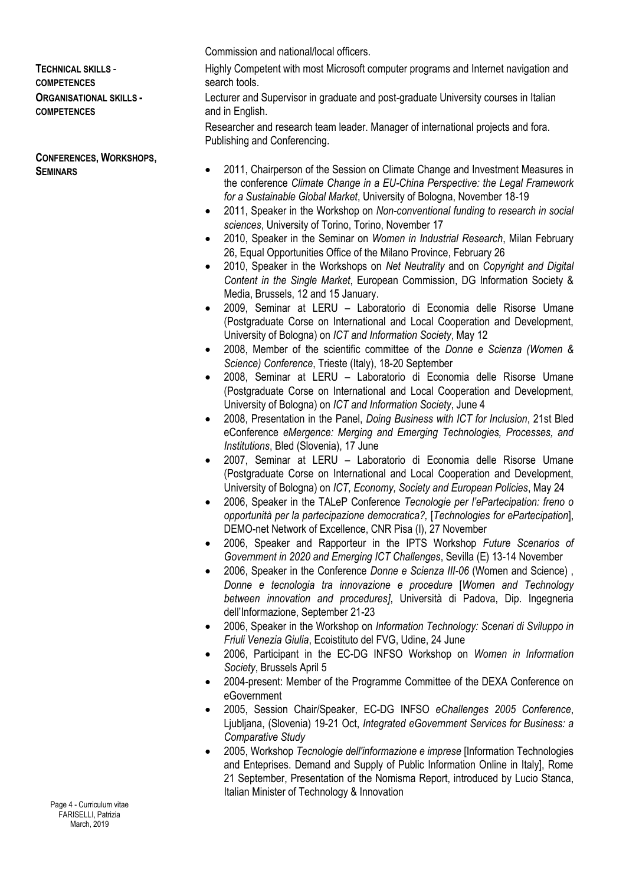# **TECHNICAL SKILLS** - **COMPETENCES ORGANISATIONAL SKILLS - COMPETENCES**

**CONFERENCES, WORKSHOPS, SEMINARS**

Commission and national/local officers.

Highly Competent with most Microsoft computer programs and Internet navigation and search tools.

Lecturer and Supervisor in graduate and post-graduate University courses in Italian and in English.

Researcher and research team leader. Manager of international projects and fora. Publishing and Conferencing.

- 2011, Chairperson of the Session on Climate Change and Investment Measures in the conference *Climate Change in a EU-China Perspective: the Legal Framework for a Sustainable Global Market*, University of Bologna, November 18-19
- 2011, Speaker in the Workshop on *Non-conventional funding to research in social sciences*, University of Torino, Torino, November 17
- 2010, Speaker in the Seminar on *Women in Industrial Research*, Milan February 26, Equal Opportunities Office of the Milano Province, February 26
- 2010, Speaker in the Workshops on *Net Neutrality* and on *Copyright and Digital Content in the Single Market*, European Commission, DG Information Society & Media, Brussels, 12 and 15 January.
- 2009, Seminar at LERU Laboratorio di Economia delle Risorse Umane (Postgraduate Corse on International and Local Cooperation and Development, University of Bologna) on *ICT and Information Society*, May 12
- 2008, Member of the scientific committee of the *Donne e Scienza (Women & Science) Conference*, Trieste (Italy), 18-20 September
- 2008, Seminar at LERU Laboratorio di Economia delle Risorse Umane (Postgraduate Corse on International and Local Cooperation and Development, University of Bologna) on *ICT and Information Society*, June 4
- 2008, Presentation in the Panel, *Doing Business with ICT for Inclusion*, 21st Bled eConference *eMergence: Merging and Emerging Technologies, Processes, and Institutions*, Bled (Slovenia), 17 June
- 2007, Seminar at LERU Laboratorio di Economia delle Risorse Umane (Postgraduate Corse on International and Local Cooperation and Development, University of Bologna) on *ICT, Economy, Society and European Policies*, May 24
- 2006, Speaker in the TALeP Conference *Tecnologie per l'ePartecipation: freno o opportunità per la partecipazione democratica?,* [*Technologies for ePartecipation*], DEMO-net Network of Excellence, CNR Pisa (I), 27 November
- 2006, Speaker and Rapporteur in the IPTS Workshop *Future Scenarios of Government in 2020 and Emerging ICT Challenges*, Sevilla (E) 13-14 November
- 2006, Speaker in the Conference *Donne e Scienza III-06* (Women and Science) , *Donne e tecnologia tra innovazione e procedure* [*Women and Technology between innovation and procedures]*, Università di Padova, Dip. Ingegneria dell'Informazione, September 21-23
- 2006, Speaker in the Workshop on *Information Technology: Scenari di Sviluppo in Friuli Venezia Giulia*, Ecoistituto del FVG, Udine, 24 June
- 2006, Participant in the EC-DG INFSO Workshop on *Women in Information Society*, Brussels April 5
- 2004-present: Member of the Programme Committee of the DEXA Conference on eGovernment
- 2005, Session Chair/Speaker, EC-DG INFSO *eChallenges 2005 Conference*, Ljubljana, (Slovenia) 19-21 Oct, *Integrated eGovernment Services for Business: a Comparative Study*
- 2005, Workshop *Tecnologie dell'informazione e imprese* [Information Technologies and Enteprises. Demand and Supply of Public Information Online in Italy], Rome 21 September, Presentation of the Nomisma Report, introduced by Lucio Stanca, Italian Minister of Technology & Innovation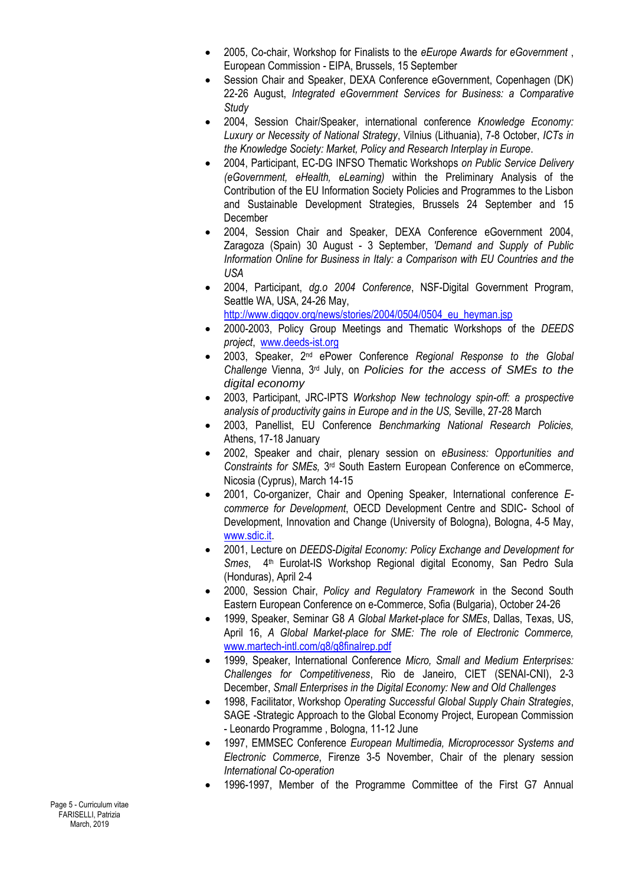- 2005, Co-chair, Workshop for Finalists to the *eEurope Awards for eGovernment* , European Commission - EIPA, Brussels, 15 September
- Session Chair and Speaker, DEXA Conference eGovernment, Copenhagen (DK) 22-26 August, *Integrated eGovernment Services for Business: a Comparative Study*
- 2004, Session Chair/Speaker, international conference *Knowledge Economy: Luxury or Necessity of National Strategy*, Vilnius (Lithuania), 7-8 October, *ICTs in the Knowledge Society: Market, Policy and Research Interplay in Europe*.
- 2004, Participant, EC-DG INFSO Thematic Workshops *on Public Service Delivery (eGovernment, eHealth, eLearning)* within the Preliminary Analysis of the Contribution of the EU Information Society Policies and Programmes to the Lisbon and Sustainable Development Strategies, Brussels 24 September and 15 December
- 2004, Session Chair and Speaker, DEXA Conference eGovernment 2004, Zaragoza (Spain) 30 August - 3 September, *'Demand and Supply of Public Information Online for Business in Italy: a Comparison with EU Countries and the USA*
- 2004, Participant, *dg.o 2004 Conference*, NSF-Digital Government Program, Seattle WA, USA, 24-26 May,

[http://www.diggov.org/news/stories/2004/0504/0504\\_eu\\_heyman.jsp](http://www.diggov.org/news/stories/2004/0504/0504_eu_heyman.jsp)

- 2000-2003, Policy Group Meetings and Thematic Workshops of the *DEEDS project*, [www.deeds-ist.org](http://www.deeds-ist.org/)
- 2003, Speaker, 2nd ePower Conference *Regional Response to the Global Challenge* Vienna, 3rd July, on *Policies for the access of SMEs to the digital economy*
- 2003, Participant, JRC-IPTS *Workshop New technology spin-off: a prospective analysis of productivity gains in Europe and in the US,* Seville, 27-28 March
- 2003, Panellist, EU Conference *Benchmarking National Research Policies,*  Athens, 17-18 January
- 2002, Speaker and chair, plenary session on *eBusiness: Opportunities and*  Constraints for SMEs, 3<sup>rd</sup> South Eastern European Conference on eCommerce, Nicosia (Cyprus), March 14-15
- 2001, Co-organizer, Chair and Opening Speaker, International conference *Ecommerce for Development*, OECD Development Centre and SDIC- School of Development, Innovation and Change (University of Bologna), Bologna, 4-5 May, [www.sdic.it.](http://www.sdic.it/)
- 2001, Lecture on *DEEDS-Digital Economy: Policy Exchange and Development for Smes*, 4th Eurolat-IS Workshop Regional digital Economy, San Pedro Sula (Honduras), April 2-4
- 2000, Session Chair, *Policy and Regulatory Framework* in the Second South Eastern European Conference on e-Commerce, Sofia (Bulgaria), October 24-26
- 1999, Speaker, Seminar G8 *A Global Market-place for SMEs*, Dallas, Texas, US, April 16, *A Global Market-place for SME: The role of Electronic Commerce,*  [www.martech-intl.com/g8/g8finalrep.pdf](http://www.martech-intl.com/g8/g8finalrep.pdf)
- 1999, Speaker, International Conference *Micro, Small and Medium Enterprises: Challenges for Competitiveness*, Rio de Janeiro, CIET (SENAI-CNI), 2-3 December, *Small Enterprises in the Digital Economy: New and Old Challenges*
- 1998, Facilitator, Workshop *Operating Successful Global Supply Chain Strategies*, SAGE -Strategic Approach to the Global Economy Project, European Commission - Leonardo Programme , Bologna, 11-12 June
- 1997, EMMSEC Conference *European Multimedia, Microprocessor Systems and Electronic Commerce*, Firenze 3-5 November, Chair of the plenary session *International Co-operation*
- 1996-1997, Member of the Programme Committee of the First G7 Annual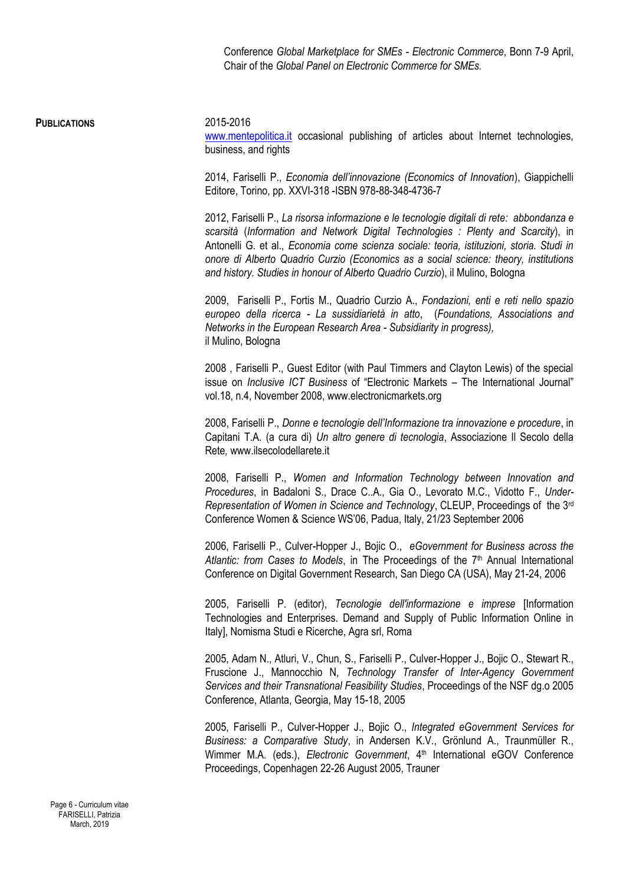Conference *Global Marketplace for SMEs - Electronic Commerce*, Bonn 7-9 April, Chair of the *Global Panel on Electronic Commerce for SMEs.*

### **PUBLICATIONS** 2015-2016

[www.mentepolitica.it](http://www.mentepolitica.it/) occasional publishing of articles about Internet technologies, business, and rights

2014, Fariselli P., *Economia dell'innovazione (Economics of Innovation*), Giappichelli Editore, Torino, pp. XXVI-318 -ISBN 978-88-348-4736-7

2012, Fariselli P., *La risorsa informazione e le tecnologie digitali di rete: abbondanza e scarsità* (*Information and Network Digital Technologies : Plenty and Scarcity*), in Antonelli G. et al., *Economia come scienza sociale: teoria, istituzioni, storia. Studi in onore di Alberto Quadrio Curzio (Economics as a social science: theory, institutions and history. Studies in honour of Alberto Quadrio Curzio*), il Mulino, Bologna

2009, Fariselli P., Fortis M., Quadrio Curzio A., *Fondazioni, enti e reti nello spazio europeo della ricerca - La sussidiarietà in atto*, (*Foundations, Associations and Networks in the European Research Area - Subsidiarity in progress),* il Mulino, Bologna

2008 , Fariselli P., Guest Editor (with Paul Timmers and Clayton Lewis) of the special issue on *Inclusive ICT Business* of "Electronic Markets – The International Journal" vol.18, n.4, November 2008, www.electronicmarkets.org

2008, Fariselli P., *Donne e tecnologie dell'Informazione tra innovazione e procedure*, in Capitani T.A. (a cura di) *Un altro genere di tecnologia*, Associazione Il Secolo della Rete*,* www.ilsecolodellarete.it

2008, Fariselli P., *Women and Information Technology between Innovation and Procedures*, in Badaloni S., Drace C..A., Gia O., Levorato M.C., Vidotto F., *Under-Representation of Women in Science and Technology*, CLEUP, Proceedings of the 3rd Conference Women & Science WS'06, Padua, Italy, 21/23 September 2006

2006, Fariselli P., Culver-Hopper J., Bojic O., *eGovernment for Business across the*  Atlantic: from Cases to Models, in The Proceedings of the 7<sup>th</sup> Annual International Conference on Digital Government Research, San Diego CA (USA), May 21-24, 2006

2005, Fariselli P. (editor), *Tecnologie dell'informazione e imprese* [Information Technologies and Enterprises. Demand and Supply of Public Information Online in Italy], Nomisma Studi e Ricerche, Agra srl, Roma

2005, Adam N., Atluri, V., Chun, S., Fariselli P., Culver-Hopper J., Bojic O., Stewart R., Fruscione J., Mannocchio N, *Technology Transfer of Inter-Agency Government Services and their Transnational Feasibility Studies*, Proceedings of the NSF dg.o 2005 Conference, Atlanta, Georgia, May 15-18, 2005

2005, Fariselli P., Culver-Hopper J., Bojic O., *Integrated eGovernment Services for Business: a Comparative Study*, in Andersen K.V., Grönlund A., Traunmüller R., Wimmer M.A. (eds.), *Electronic Government*, 4<sup>th</sup> International eGOV Conference Proceedings, Copenhagen 22-26 August 2005, Trauner